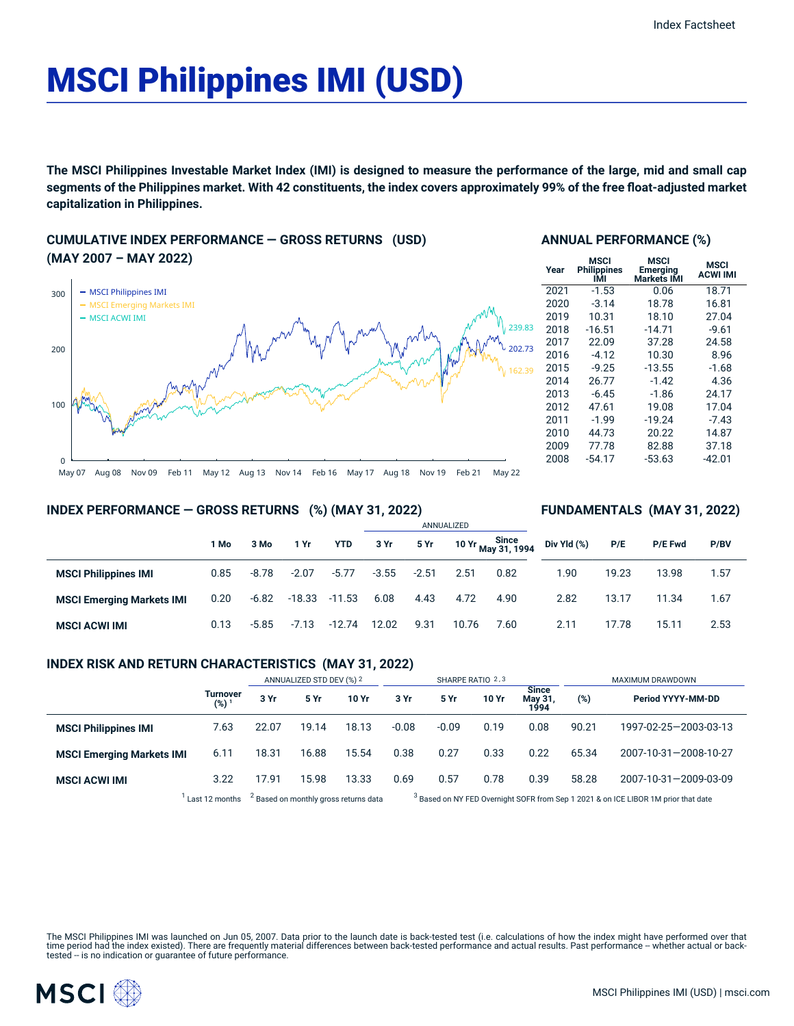# MSCI Philippines IMI (USD)

The MSCI Philippines Investable Market Index (IMI) is designed to measure the performance of the large, mid and small cap segments of the Philippines market. With 42 constituents, the index covers approximately 99% of the free float-adjusted market **capitalization in Philippines.**

## **CUMULATIVE INDEX PERFORMANCE — GROSS RETURNS (USD) (MAY 2007 – MAY 2022)**



#### **ANNUAL PERFORMANCE (%)**

| Year | MSCI<br><b>Philippines</b><br>IMI | MSCI<br>Emerging<br>Markets IMI | MSCI<br><b>ACWI IMI</b> |
|------|-----------------------------------|---------------------------------|-------------------------|
| 2021 | $-1.53$                           | 0.06                            | 18.71                   |
| 2020 | $-3.14$                           | 18.78                           | 16.81                   |
| 2019 | 10.31                             | 18.10                           | 27.04                   |
| 2018 | $-16.51$                          | $-14.71$                        | $-9.61$                 |
| 2017 | 22.09                             | 37.28                           | 24.58                   |
| 2016 | $-4.12$                           | 10.30                           | 8.96                    |
| 2015 | $-9.25$                           | $-13.55$                        | $-1.68$                 |
| 2014 | 26.77                             | $-1.42$                         | 4.36                    |
| 2013 | $-6.45$                           | $-1.86$                         | 24.17                   |
| 2012 | 47.61                             | 19.08                           | 17.04                   |
| 2011 | $-1.99$                           | $-19.24$                        | $-7.43$                 |
| 2010 | 44.73                             | 20.22                           | 14.87                   |
| 2009 | 77.78                             | 82.88                           | 37.18                   |
| 2008 | $-54.17$                          | $-53.63$                        | -42.01                  |

**FUNDAMENTALS (MAY 31, 2022)**

#### **INDEX PERFORMANCE — GROSS RETURNS (%) (MAY 31, 2022)**

#### ANNUALIZED **1 Mo 3 Mo 1 Yr YTD 3 Yr 5 Yr 10 Yr Since May 31, 1994 MSCI Philippines IMI** 0.85 -8.78 -2.07 -5.77 -3.55 -2.51 2.51 0.82 **MSCI Emerging Markets IMI** 0.20 -6.82 -18.33 -11.53 6.08 4.43 4.72 4.90 **MSCI ACWI IMI** 0.13 -5.85 -7.13 -12.74 12.02 9.31 10.76 7.60 **Div Yld (%) P/E P/E Fwd P/BV** 1.90 19.23 13.98 1.57 2.82 13.17 11.34 1.67 2.11 17.78 15.11 2.53

#### **INDEX RISK AND RETURN CHARACTERISTICS (MAY 31, 2022)**

|                                                                    |                              | ANNUALIZED STD DEV (%) 2 |       | SHARPE RATIO 2,3                                                                              |         |         |       | MAXIMUM DRAWDOWN                |       |                       |
|--------------------------------------------------------------------|------------------------------|--------------------------|-------|-----------------------------------------------------------------------------------------------|---------|---------|-------|---------------------------------|-------|-----------------------|
|                                                                    | Turnover<br>(%) <sup>1</sup> | 3 Yr                     | 5 Yr  | 10 Yr                                                                                         | 3 Yr    | 5 Yr    | 10 Yr | <b>Since</b><br>May 31,<br>1994 | (%)   | Period YYYY-MM-DD     |
| <b>MSCI Philippines IMI</b>                                        | 7.63                         | 22.07                    | 19.14 | 18.13                                                                                         | $-0.08$ | $-0.09$ | 0.19  | 0.08                            | 90.21 | 1997-02-25-2003-03-13 |
| <b>MSCI Emerging Markets IMI</b>                                   | 6.11                         | 18.31                    | 16.88 | 15.54                                                                                         | 0.38    | 0.27    | 0.33  | 0.22                            | 65.34 | 2007-10-31-2008-10-27 |
| <b>MSCI ACWI IMI</b>                                               | 3.22                         | 17.91                    | 15.98 | 13.33                                                                                         | 0.69    | 0.57    | 0.78  | 0.39                            | 58.28 | 2007-10-31-2009-03-09 |
| <sup>2</sup> Based on monthly gross returns data<br>Last 12 months |                              |                          |       | <sup>3</sup> Based on NY FED Overnight SOFR from Sep 1 2021 & on ICE LIBOR 1M prior that date |         |         |       |                                 |       |                       |

The MSCI Philippines IMI was launched on Jun 05, 2007. Data prior to the launch date is back-tested test (i.e. calculations of how the index might have performed over that time period had the index existed). There are frequently material differences between back-tested performance and actual results. Past performance – whether actual or back-<br>tested – is no indication or guarantee of future

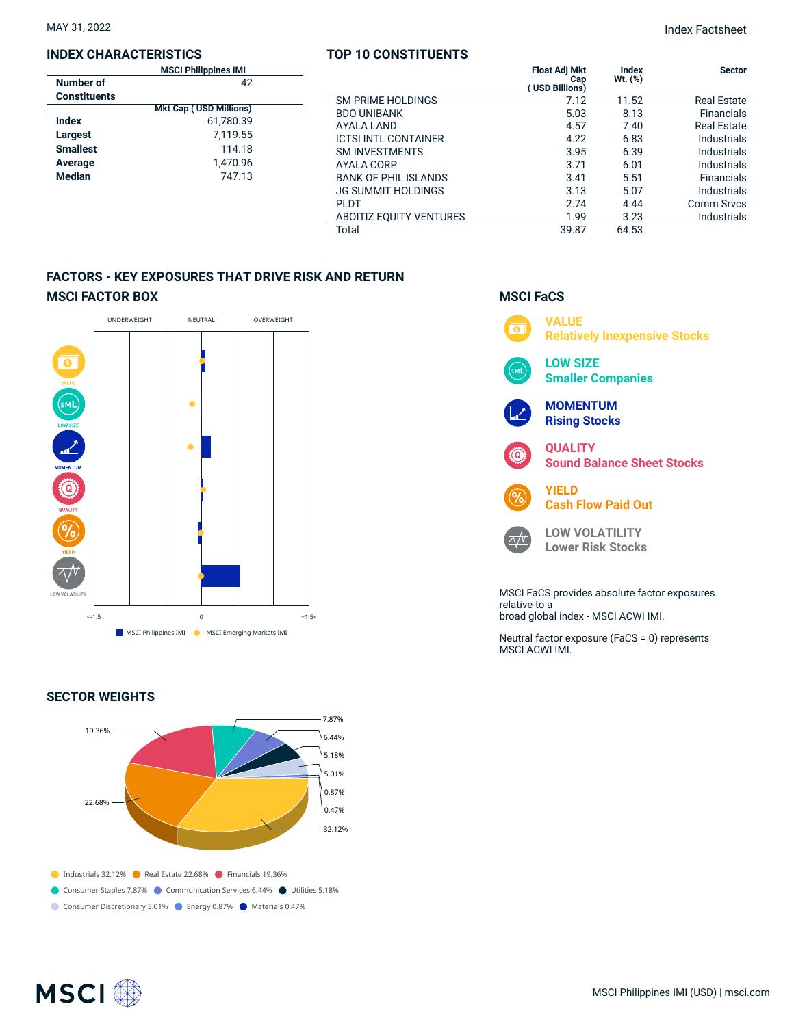### **INDEX CHARACTERISTICS**

| <b>MSCI Philippines IMI</b> |                               |  |  |
|-----------------------------|-------------------------------|--|--|
| Number of                   | 42                            |  |  |
| <b>Constituents</b>         |                               |  |  |
|                             | <b>Mkt Cap (USD Millions)</b> |  |  |
| Index                       | 61,780.39                     |  |  |
| Largest                     | 7.119.55                      |  |  |
| <b>Smallest</b>             | 114.18                        |  |  |
| Average                     | 1,470.96                      |  |  |
| Median                      | 747.13                        |  |  |
|                             |                               |  |  |

#### **TOP 10 CONSTITUENTS**

|                  | TOP 10 CONSTITUENTS                                      |                                              |                  |                                          |
|------------------|----------------------------------------------------------|----------------------------------------------|------------------|------------------------------------------|
| s IMI<br>42      |                                                          | <b>Float Adj Mkt</b><br>Cap<br>USD Billions) | Index<br>Wt. (%) | <b>Sector</b>                            |
| illions)         | <b>SM PRIME HOLDINGS</b><br><b>BDO UNIBANK</b>           | 7.12<br>5.03                                 | 11.52<br>8.13    | <b>Real Estate</b><br><b>Financials</b>  |
| 780.39           | AYALA LAND                                               | 4.57                                         | 7.40             | <b>Real Estate</b>                       |
| 119.55<br>114.18 | <b>ICTSI INTL CONTAINER</b><br><b>SM INVESTMENTS</b>     | 4.22<br>3.95                                 | 6.83<br>6.39     | <b>Industrials</b><br><b>Industrials</b> |
| 170.96           | AYALA CORP                                               | 3.71                                         | 6.01             | <b>Industrials</b>                       |
| 747.13           | <b>BANK OF PHIL ISLANDS</b><br><b>JG SUMMIT HOLDINGS</b> | 3.41<br>3.13                                 | 5.51<br>5.07     | <b>Financials</b><br>Industrials         |
|                  | <b>PLDT</b>                                              | 2.74                                         | 4.44             | <b>Comm Srvcs</b>                        |
|                  | <b>ABOITIZ EOUITY VENTURES</b><br>Total                  | 1.99<br>39.87                                | 3.23<br>64.53    | <b>Industrials</b>                       |
|                  |                                                          |                                              |                  |                                          |

# **FACTORS - KEY EXPOSURES THAT DRIVE RISK AND RETURN MSCI FACTOR BOX**



#### **SECTOR WEIGHTS**



### **MSCI FaCS**



broad global index - MSCI ACWI IMI.

Neutral factor exposure (FaCS = 0) represents MSCI ACWI IMI.